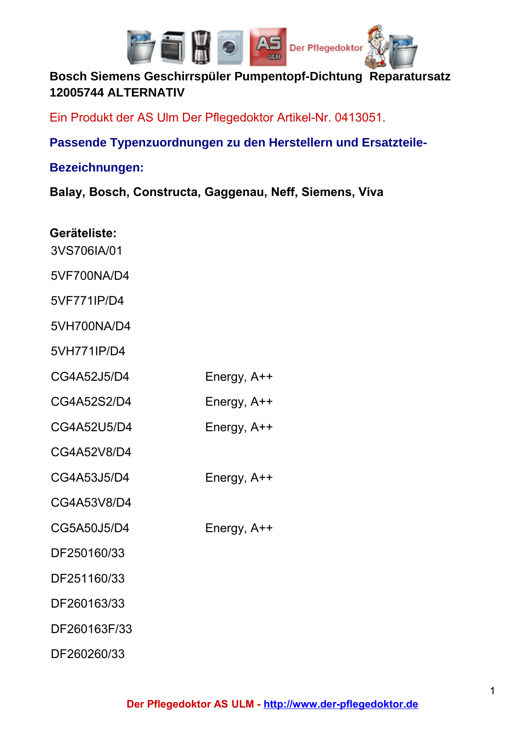

## **Bosch Siemens Geschirrspüler Pumpentopf-Dichtung Reparatursatz 12005744 ALTERNATIV**

Ein Produkt der AS Ulm Der Pflegedoktor Artikel-Nr. 0413051.

## **Passende Typenzuordnungen zu den Herstellern und Ersatzteile-**

## **Bezeichnungen:**

**Balay, Bosch, Constructa, Gaggenau, Neff, Siemens, Viva**

## **Geräteliste:**

3VS706IA/01

- 5VF700NA/D4
- 5VF771IP/D4

- 5VH700NA/D4
- 5VH771IP/D4
- CG4A52J5/D4 Energy, A++
- CG4A52S2/D4 Energy, A++
- CG4A52U5/D4 Energy, A++
- CG4A52V8/D4
- CG4A53J5/D4 Energy, A++
- CG4A53V8/D4
- CG5A50J5/D4 Energy, A++
- DF250160/33
- DF251160/33
- DF260163/33
- DF260163F/33

DF260260/33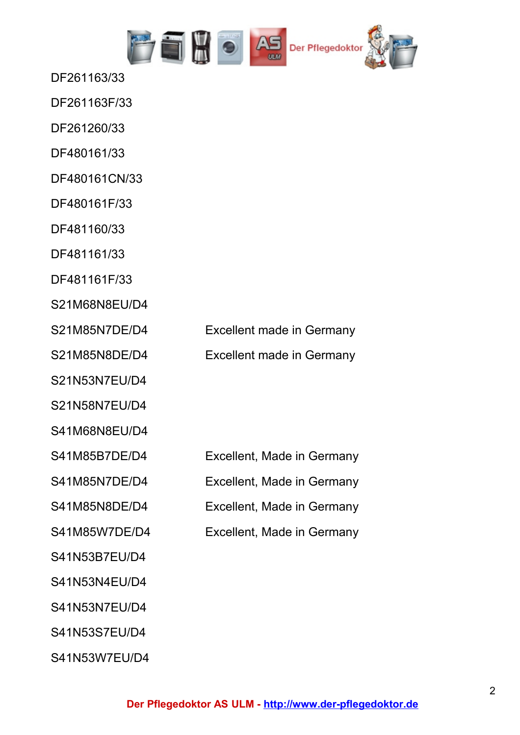

- DF261163/33
- DF261163F/33
- DF261260/33
- DF480161/33
- DF480161CN/33
- DF480161F/33
- DF481160/33
- DF481161/33
- DF481161F/33
- S21M68N8EU/D4
- 
- 
- S21N53N7EU/D4
- S21N58N7EU/D4
- S41M68N8EU/D4
- 
- 
- 
- 
- S41N53B7EU/D4
- 
- S41N53N4EU/D4
- S41N53N7EU/D4
- S41N53S7EU/D4
- S41N53W7EU/D4
- S21M85N7DE/D4 Excellent made in Germany
- S21M85N8DE/D4 Excellent made in Germany

- S41M85B7DE/D4 Excellent, Made in Germany S41M85N7DE/D4 Excellent, Made in Germany
- S41M85N8DE/D4 Excellent, Made in Germany
- S41M85W7DE/D4 Excellent, Made in Germany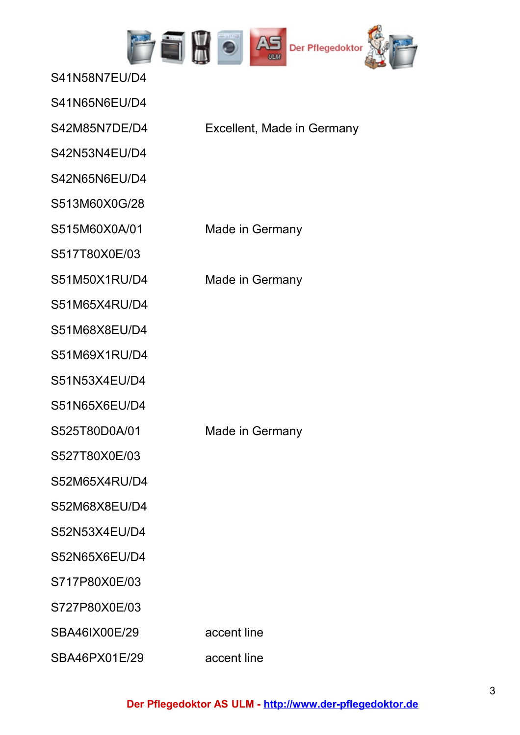

| S41N65N6EU/D4 |                            |
|---------------|----------------------------|
| S42M85N7DE/D4 | Excellent, Made in Germany |
| S42N53N4EU/D4 |                            |
| S42N65N6EU/D4 |                            |
| S513M60X0G/28 |                            |
| S515M60X0A/01 | Made in Germany            |
| S517T80X0E/03 |                            |
| S51M50X1RU/D4 | Made in Germany            |
| S51M65X4RU/D4 |                            |
| S51M68X8EU/D4 |                            |
| S51M69X1RU/D4 |                            |
| S51N53X4EU/D4 |                            |
| S51N65X6EU/D4 |                            |
| S525T80D0A/01 | Made in Germany            |
| S527T80X0E/03 |                            |
| S52M65X4RU/D4 |                            |
| S52M68X8EU/D4 |                            |
| S52N53X4EU/D4 |                            |
| S52N65X6EU/D4 |                            |
| S717P80X0E/03 |                            |
| S727P80X0E/03 |                            |
| SBA46IX00E/29 | accent line                |
| SBA46PX01E/29 | accent line                |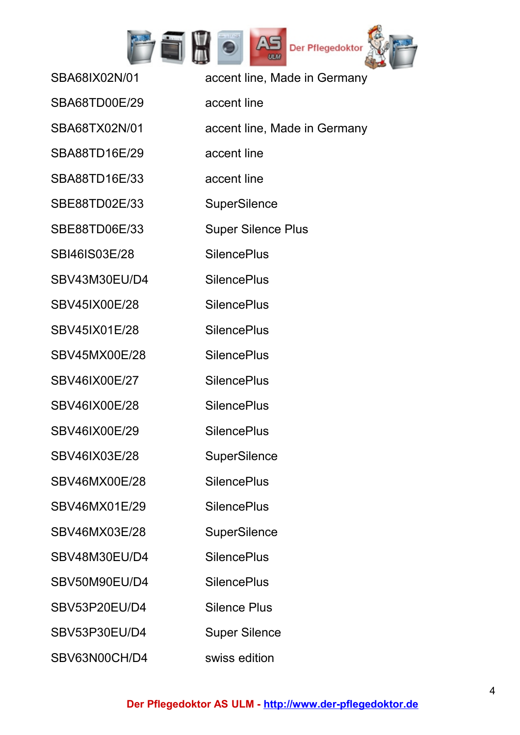

SBA68IX02N/01 accent line, Made in Germany

SBA68TD00E/29 accent line

SBA68TX02N/01 accent line, Made in Germany

SBA88TD16E/29 accent line

SBA88TD16E/33 accent line

SBE88TD02E/33 SuperSilence

SBE88TD06E/33 Super Silence Plus

SBI46IS03E/28 SilencePlus

SBV43M30EU/D4 SilencePlus

SBV45IX00E/28 SilencePlus

SBV45IX01E/28 SilencePlus

SBV45MX00E/28 SilencePlus

SBV46IX00E/27 SilencePlus

SBV46IX00E/28 SilencePlus

SBV46IX00E/29 SilencePlus

SBV46IX03E/28 SuperSilence

SBV46MX00E/28 SilencePlus

SBV46MX01E/29 SilencePlus

SBV46MX03E/28 SuperSilence

SBV48M30EU/D4 SilencePlus

SBV50M90EU/D4 SilencePlus

SBV53P20EU/D4 Silence Plus

SBV53P30EU/D4 Super Silence

SBV63N00CH/D4 swiss edition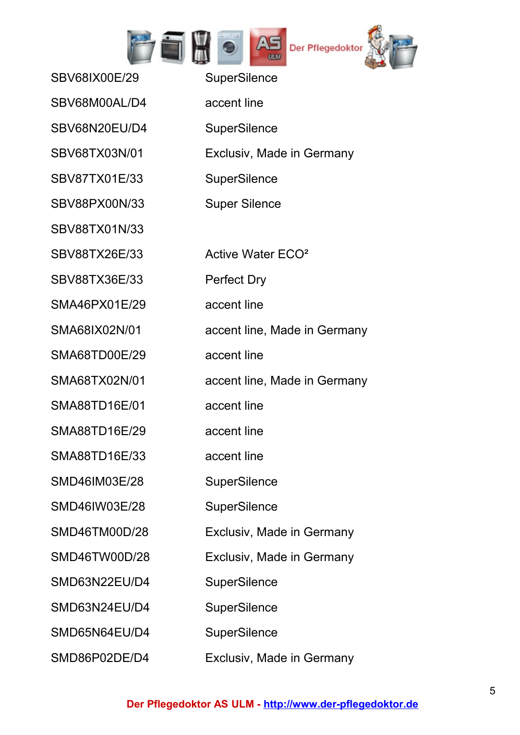

| SBV68IX00E/29 | <b>SuperSilence</b>           |
|---------------|-------------------------------|
| SBV68M00AL/D4 | accent line                   |
| SBV68N20EU/D4 | <b>SuperSilence</b>           |
| SBV68TX03N/01 | Exclusiv, Made in Germany     |
| SBV87TX01E/33 | <b>SuperSilence</b>           |
| SBV88PX00N/33 | <b>Super Silence</b>          |
| SBV88TX01N/33 |                               |
| SBV88TX26E/33 | Active Water ECO <sup>2</sup> |
| SBV88TX36E/33 | <b>Perfect Dry</b>            |
| SMA46PX01E/29 | accent line                   |
| SMA68IX02N/01 | accent line, Made in Germany  |
| SMA68TD00E/29 | accent line                   |
| SMA68TX02N/01 | accent line, Made in Germany  |
| SMA88TD16E/01 | accent line                   |
| SMA88TD16E/29 | accent line                   |
| SMA88TD16E/33 | accent line                   |
| SMD46IM03E/28 | <b>SuperSilence</b>           |
| SMD46IW03E/28 | <b>SuperSilence</b>           |
| SMD46TM00D/28 | Exclusiv, Made in Germany     |
| SMD46TW00D/28 | Exclusiv, Made in Germany     |
| SMD63N22EU/D4 | <b>SuperSilence</b>           |
| SMD63N24EU/D4 | <b>SuperSilence</b>           |
| SMD65N64EU/D4 | <b>SuperSilence</b>           |
| SMD86P02DE/D4 | Exclusiv, Made in Germany     |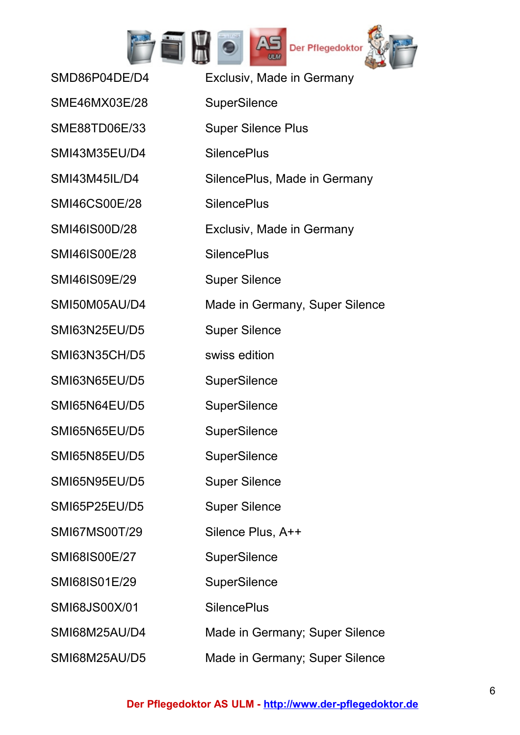

SMD86P04DE/D4 Exclusiv, Made in Germany SME46MX03E/28 SuperSilence SME88TD06E/33 Super Silence Plus SMI43M35EU/D4 SilencePlus SMI43M45IL/D4 SilencePlus, Made in Germany SMI46CS00E/28 SilencePlus SMI46IS00D/28 Exclusiv, Made in Germany SMI46IS00E/28 SilencePlus SMI46IS09E/29 Super Silence SMI50M05AU/D4 Made in Germany, Super Silence SMI63N25EU/D5 Super Silence SMI63N35CH/D5 swiss edition SMI63N65EU/D5 SuperSilence SMI65N64EU/D5 SuperSilence SMI65N65EU/D5 SuperSilence SMI65N85EU/D5 SuperSilence SMI65N95EU/D5 Super Silence SMI65P25EU/D5 Super Silence SMI67MS00T/29 Silence Plus, A++ SMI68IS00E/27 SuperSilence SMI68IS01E/29 SuperSilence SMI68JS00X/01 SilencePlus SMI68M25AU/D4 Made in Germany; Super Silence SMI68M25AU/D5 Made in Germany; Super Silence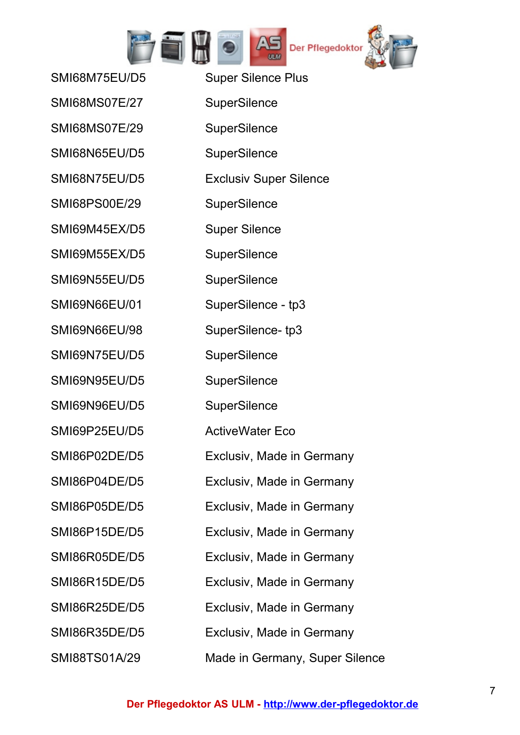

SMI68M75EU/D5 Super Silence Plus

SMI68MS07E/27 SuperSilence

SMI68MS07E/29 SuperSilence

SMI68N65EU/D5 SuperSilence

SMI68PS00E/29 SuperSilence

SMI69M45EX/D5 Super Silence

SMI69M55EX/D5 SuperSilence

SMI69N55EU/D5 SuperSilence

SMI68N75EU/D5 Exclusiv Super Silence

SMI69N66EU/01 SuperSilence - tp3

SMI69N66EU/98 SuperSilence-tp3

SMI69N75EU/D5 SuperSilence

SMI69N95EU/D5 SuperSilence

SMI69N96EU/D5 SuperSilence

SMI69P25FU/D5 ActiveWater Fco

SMI86P02DE/D5 Exclusiv, Made in Germany

SMI86P04DE/D5 Exclusiv, Made in Germany

SMI86P05DE/D5 Exclusiv, Made in Germany

SMI86P15DE/D5 Exclusiv, Made in Germany

SMI86R05DE/D5 Exclusiv, Made in Germany

SMI86R15DE/D5 Exclusiv, Made in Germany

SMI86R25DE/D5 Exclusiv, Made in Germany

SMI86R35DE/D5 Exclusiv, Made in Germany

SMI88TS01A/29 Made in Germany, Super Silence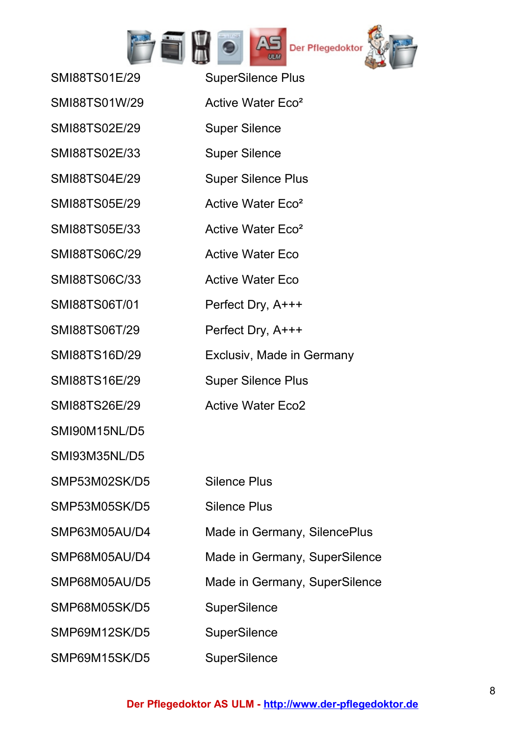

| SMI88TS01E/29        | <b>SuperSilence Plus</b>      |
|----------------------|-------------------------------|
| SMI88TS01W/29        | Active Water Eco <sup>2</sup> |
| SMI88TS02E/29        | <b>Super Silence</b>          |
| SMI88TS02E/33        | <b>Super Silence</b>          |
| SMI88TS04E/29        | <b>Super Silence Plus</b>     |
| SMI88TS05E/29        | Active Water Eco <sup>2</sup> |
| SMI88TS05E/33        | Active Water Eco <sup>2</sup> |
| SMI88TS06C/29        | <b>Active Water Eco</b>       |
| SMI88TS06C/33        | <b>Active Water Eco</b>       |
| SMI88TS06T/01        | Perfect Dry, A+++             |
| SMI88TS06T/29        | Perfect Dry, A+++             |
| SMI88TS16D/29        | Exclusiv, Made in Germany     |
| <b>SMI88TS16E/29</b> | <b>Super Silence Plus</b>     |
| SMI88TS26E/29        | <b>Active Water Eco2</b>      |
| SMI90M15NL/D5        |                               |
| SMI93M35NL/D5        |                               |
| SMP53M02SK/D5        | <b>Silence Plus</b>           |
| <b>SMP53M05SK/D5</b> | <b>Silence Plus</b>           |
| SMP63M05AU/D4        | Made in Germany, SilencePlus  |
| SMP68M05AU/D4        | Made in Germany, SuperSilence |
| SMP68M05AU/D5        | Made in Germany, SuperSilence |
| SMP68M05SK/D5        | <b>SuperSilence</b>           |
| SMP69M12SK/D5        | <b>SuperSilence</b>           |
| SMP69M15SK/D5        | <b>SuperSilence</b>           |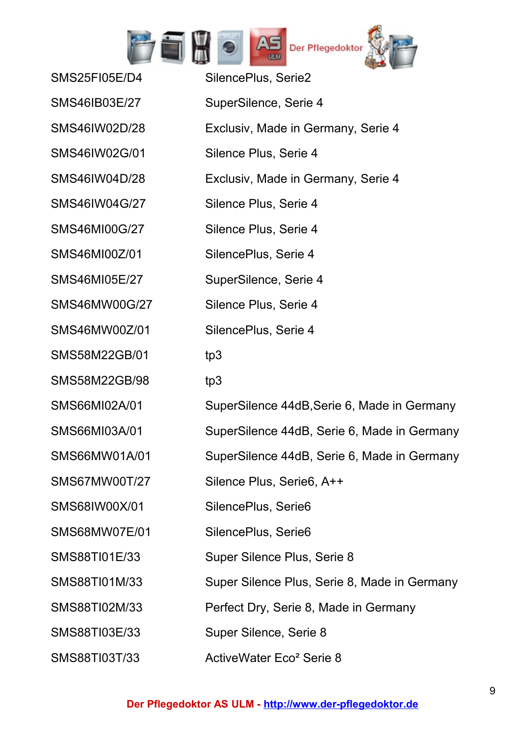

| <b>SMS25FI05E/D4</b> | SilencePlus, Serie2                          |
|----------------------|----------------------------------------------|
| <b>SMS46IB03E/27</b> | SuperSilence, Serie 4                        |
| SMS46IW02D/28        | Exclusiv, Made in Germany, Serie 4           |
| SMS46IW02G/01        | Silence Plus, Serie 4                        |
| SMS46IW04D/28        | Exclusiv, Made in Germany, Serie 4           |
| SMS46IW04G/27        | Silence Plus, Serie 4                        |
| SMS46MI00G/27        | Silence Plus, Serie 4                        |
| SMS46MI00Z/01        | SilencePlus, Serie 4                         |
| SMS46MI05E/27        | SuperSilence, Serie 4                        |
| SMS46MW00G/27        | Silence Plus, Serie 4                        |
| SMS46MW00Z/01        | SilencePlus, Serie 4                         |
| SMS58M22GB/01        | tp3                                          |
| SMS58M22GB/98        | tp3                                          |
| SMS66MI02A/01        | SuperSilence 44dB, Serie 6, Made in Germany  |
| SMS66MI03A/01        | SuperSilence 44dB, Serie 6, Made in Germany  |
| SMS66MW01A/01        | SuperSilence 44dB, Serie 6, Made in Germany  |
| SMS67MW00T/27        | Silence Plus, Serie6, A++                    |
| SMS68IW00X/01        | SilencePlus, Serie6                          |
| SMS68MW07E/01        | SilencePlus, Serie6                          |
| SMS88TI01E/33        | Super Silence Plus, Serie 8                  |
| SMS88TI01M/33        | Super Silence Plus, Serie 8, Made in Germany |
| SMS88TI02M/33        | Perfect Dry, Serie 8, Made in Germany        |
| SMS88TI03E/33        | Super Silence, Serie 8                       |
| SMS88TI03T/33        | ActiveWater Eco <sup>2</sup> Serie 8         |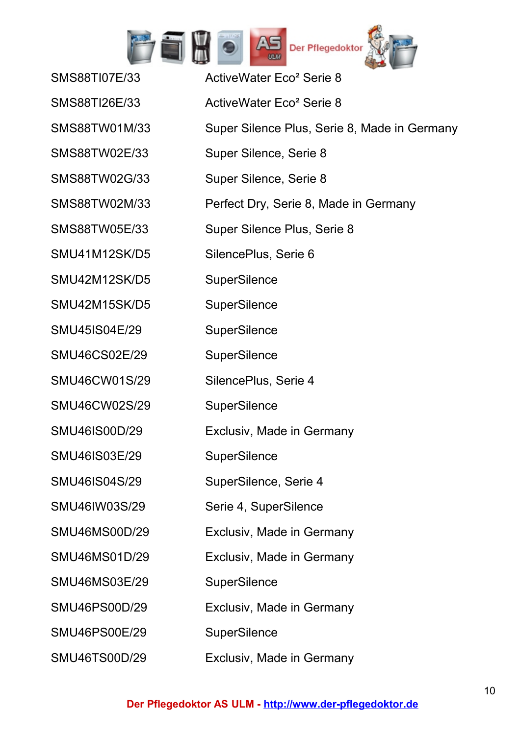

SMS88TI07E/33 ActiveWater Eco² Serie 8 SMS88TI26E/33 ActiveWater Eco² Serie 8 SMS88TW01M/33 Super Silence Plus, Serie 8, Made in Germany SMS88TW02E/33 Super Silence, Serie 8 SMS88TW02G/33 Super Silence, Serie 8 SMS88TW02M/33 Perfect Dry, Serie 8, Made in Germany SMS88TW05E/33 Super Silence Plus, Serie 8 SMU41M12SK/D5 SilencePlus, Serie 6 SMU42M12SK/D5 SuperSilence SMU42M15SK/D5 SuperSilence SMU45IS04E/29 SuperSilence SMU46CS02E/29 SuperSilence SMU46CW01S/29 SilencePlus, Serie 4 SMU46CW02S/29 SuperSilence SMU46IS00D/29 Exclusiv, Made in Germany SMU46IS03E/29 SuperSilence SMU46IS04S/29 SuperSilence, Serie 4 SMU46IW03S/29 Serie 4, SuperSilence SMU46MS00D/29 Exclusiv, Made in Germany SMU46MS01D/29 Exclusiv, Made in Germany SMU46MS03E/29 SuperSilence SMU46PS00D/29 Exclusiv, Made in Germany SMU46PS00E/29 SuperSilence SMU46TS00D/29 Exclusiv, Made in Germany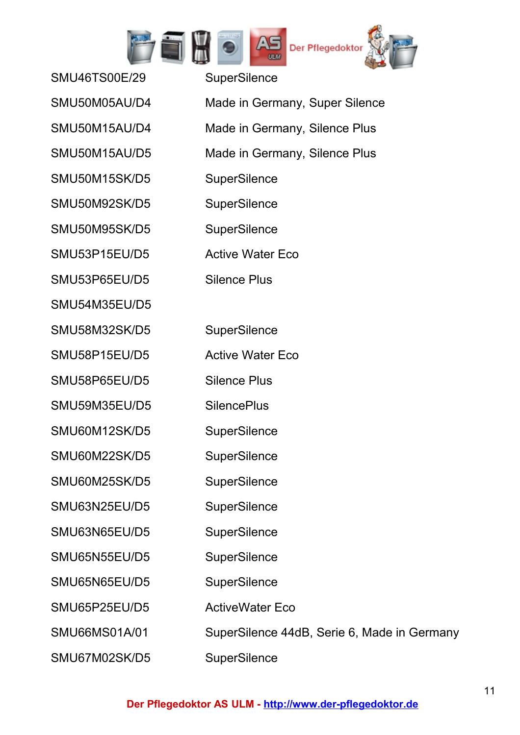

SMU46TS00E/29 SuperSilence SMU50M05AU/D4 Made in Germany, Super Silence SMU50M15AU/D4 Made in Germany, Silence Plus SMU50M15AU/D5 Made in Germany, Silence Plus SMU50M15SK/D5 SuperSilence SMU50M92SK/D5 SuperSilence SMU50M95SK/D5 SuperSilence SMU53P15EU/D5 Active Water Eco SMU53P65EU/D5 Silence Plus SMU54M35EU/D5 SMU58M32SK/D5 SuperSilence SMU58P15EU/D5 Active Water Eco SMU58P65EU/D5 Silence Plus SMU59M35EU/D5 SilencePlus SMU60M12SK/D5 SuperSilence SMU60M22SK/D5 SuperSilence SMU60M25SK/D5 SuperSilence SMU63N25EU/D5 SuperSilence SMU63N65EU/D5 SuperSilence SMU65N55EU/D5 SuperSilence SMU65N65EU/D5 SuperSilence SMU65P25EU/D5 ActiveWater Eco SMU66MS01A/01 SuperSilence 44dB, Serie 6, Made in Germany SMU67M02SK/D5 SuperSilence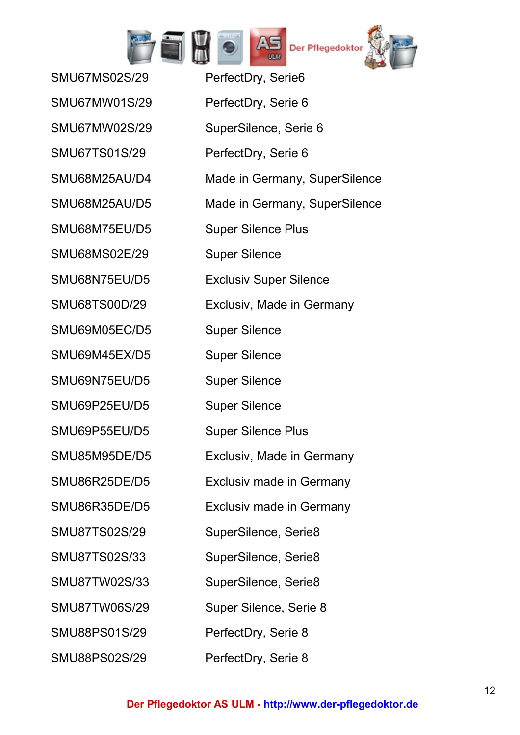

SMU67MS02S/29 PerfectDry, Serie6 SMU67MW01S/29 PerfectDry, Serie 6 SMU67MW02S/29 SuperSilence, Serie 6 SMU67TS01S/29 PerfectDry, Serie 6 SMU68M25AU/D4 Made in Germany, SuperSilence SMU68M25AU/D5 Made in Germany, SuperSilence SMU68M75EU/D5 Super Silence Plus SMU68MS02E/29 Super Silence SMU68N75EU/D5 Exclusiv Super Silence SMU68TS00D/29 Exclusiv, Made in Germany SMU69M05EC/D5 Super Silence SMU69M45EX/D5 Super Silence SMU69N75EU/D5 Super Silence SMU69P25EU/D5 Super Silence SMU69P55EU/D5 Super Silence Plus SMU85M95DE/D5 Exclusiv, Made in Germany SMU86R25DE/D5 Exclusiv made in Germany SMU86R35DE/D5 Exclusiv made in Germany SMU87TS02S/29 SuperSilence, Serie8 SMU87TS02S/33 SuperSilence, Serie8 SMU87TW02S/33 SuperSilence, Serie8 SMU87TW06S/29 Super Silence, Serie 8 SMU88PS01S/29 PerfectDry, Serie 8 SMU88PS02S/29 PerfectDry, Serie 8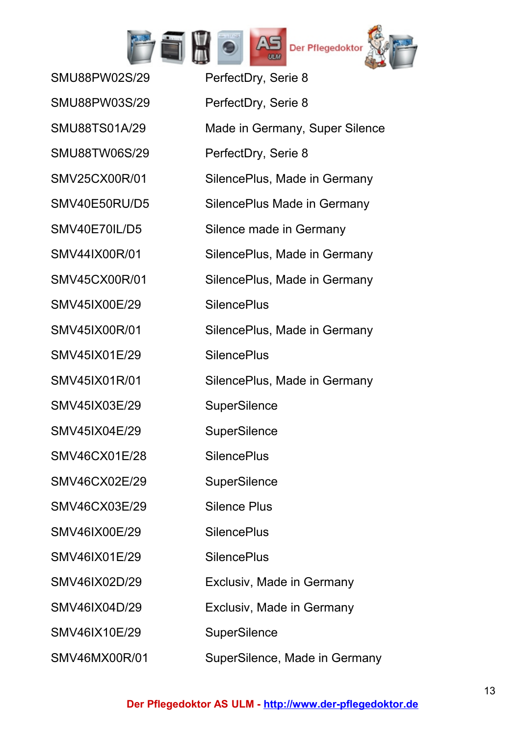

SMU88PW02S/29 PerfectDry, Serie 8 SMU88PW03S/29 PerfectDry, Serie 8 SMU88TS01A/29 Made in Germany, Super Silence SMU88TW06S/29 PerfectDry, Serie 8 SMV25CX00R/01 SilencePlus, Made in Germany SMV40E50RU/D5 SilencePlus Made in Germany SMV40E70IL/D5 Silence made in Germany SMV44IX00R/01 SilencePlus, Made in Germany SMV45CX00R/01 SilencePlus, Made in Germany SMV45IX00E/29 SilencePlus SMV45IX00R/01 SilencePlus, Made in Germany SMV45IX01E/29 SilencePlus SMV45IX01R/01 SilencePlus, Made in Germany SMV45IX03E/29 SuperSilence SMV45IX04E/29 SuperSilence SMV46CX01E/28 SilencePlus SMV46CX02E/29 SuperSilence SMV46CX03E/29 Silence Plus SMV46IX00F/29 SilencePlus SMV46IX01E/29 SilencePlus SMV46IX02D/29 Exclusiv, Made in Germany SMV46IX04D/29 Exclusiv, Made in Germany SMV46IX10E/29 SuperSilence SMV46MX00R/01 SuperSilence, Made in Germany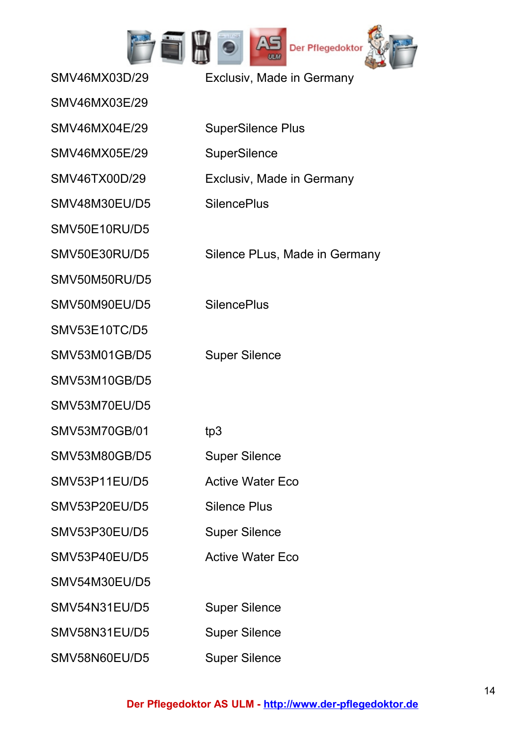

SMV46MX03D/29 Exclusiv, Made in Germany SMV46MX03E/29 SMV46MX04E/29 SuperSilence Plus SMV46MX05E/29 SuperSilence SMV46TX00D/29 Exclusiv, Made in Germany SMV48M30EU/D5 SilencePlus SMV50E10RU/D5 SMV50E30RU/D5 Silence PLus, Made in Germany SMV50M50RU/D5 SMV50M90EU/D5 SilencePlus SMV53E10TC/D5 SMV53M01GB/D5 Super Silence SMV53M10GB/D5 SMV53M70EU/D5 SMV53M70GB/01 tp3 SMV53M80GB/D5 Super Silence SMV53P11EU/D5 Active Water Eco SMV53P20EU/D5 Silence Plus SMV53P30EU/D5 Super Silence SMV53P40EU/D5 Active Water Eco SMV54M30EU/D5 SMV54N31EU/D5 Super Silence SMV58N31EU/D5 Super Silence SMV58N60EU/D5 Super Silence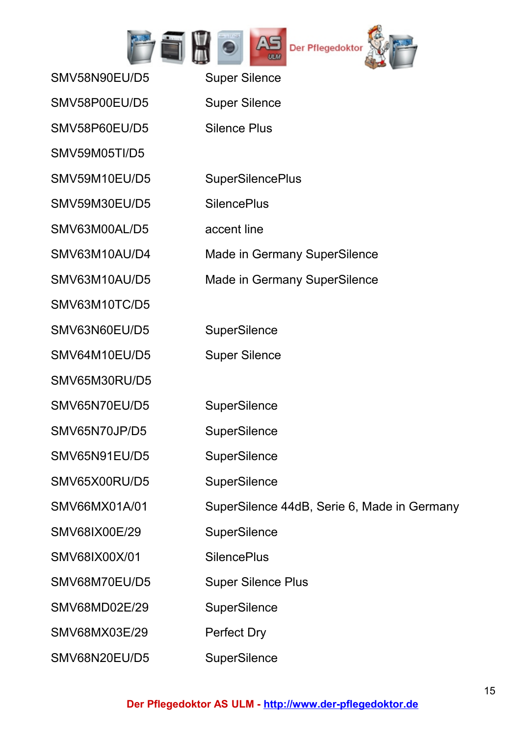

| SMV58N90EU/D5 | <b>Super Silence</b>    |
|---------------|-------------------------|
| SMV58P00EU/D5 | <b>Super Silence</b>    |
| SMV58P60EU/D5 | <b>Silence Plus</b>     |
| SMV59M05TI/D5 |                         |
| SMV59M10EU/D5 | <b>SuperSilencePlus</b> |
| SMV59M30EU/D5 | <b>SilencePlus</b>      |
| SMV63M00AL/D5 | accent line             |

SMV63M10AU/D4 Made in Germany SuperSilence

SMV63M10AU/D5 Made in Germany SuperSilence

SMV63M10TC/D5

SMV63N60EU/D5 SuperSilence

SMV64M10EU/D5 Super Silence

SMV65M30RU/D5

SMV65N70EU/D5 SuperSilence

SMV65N70JP/D5 SuperSilence

SMV65N91EU/D5 SuperSilence

SMV68IX00X/01 SilencePlus

SMV68N20EU/D5 SuperSilence

SMV65X00RU/D5 SuperSilence

SMV66MX01A/01 SuperSilence 44dB, Serie 6, Made in Germany

SMV68IX00E/29 SuperSilence

SMV68M70EU/D5 Super Silence Plus

SMV68MD02E/29 SuperSilence

SMV68MX03E/29 Perfect Dry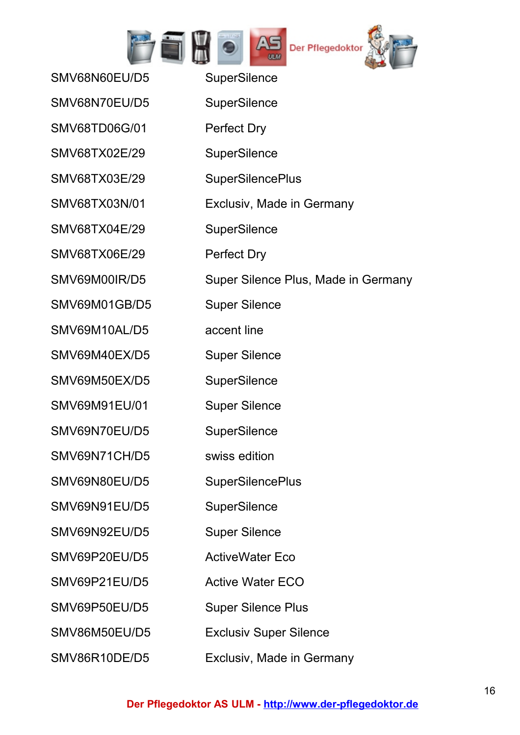

SMV68N70EU/D5 SuperSilence

SMV68TD06G/01 Perfect Dry

SMV68TX02E/29 SuperSilence

SMV68TX04E/29 SuperSilence

SMV68TX06E/29 Perfect Dry

SMV69M50EX/D5 SuperSilence

SMV69M91EU/01 Super Silence

SMV69N70EU/D5 SuperSilence

SMV68N60EU/D5 SuperSilence

SMV68TX03E/29 SuperSilencePlus

SMV68TX03N/01 Exclusiv, Made in Germany

SMV69M00IR/D5 Super Silence Plus, Made in Germany

SMV69M01GB/D5 Super Silence

SMV69M10AL/D5 accent line

SMV69M40EX/D5 Super Silence

SMV69N71CH/D5 swiss edition

SMV69N80EU/D5 SuperSilencePlus

SMV69N91EU/D5 SuperSilence

SMV69N92EU/D5 Super Silence

SMV69P20EU/D5 ActiveWater Eco

SMV69P21EU/D5 Active Water ECO

SMV69P50EU/D5 Super Silence Plus

SMV86M50EU/D5 Exclusiv Super Silence

SMV86R10DE/D5 Exclusiv, Made in Germany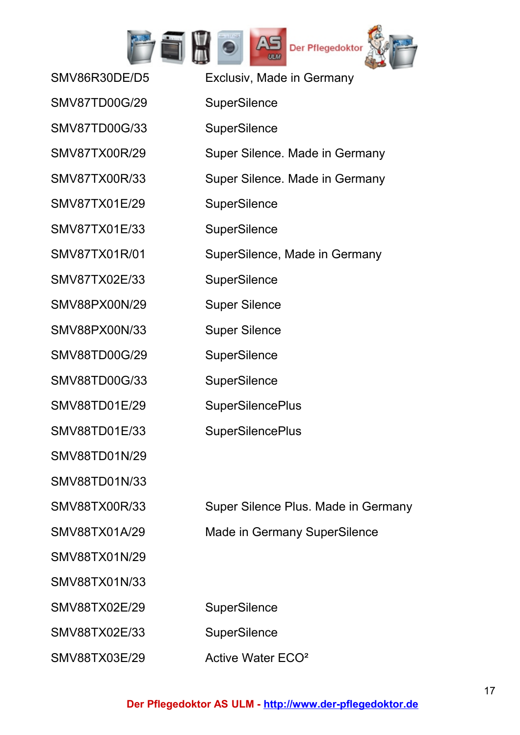

| SMV86R30DE/D5        | Exclusiv, Made in Germany           |
|----------------------|-------------------------------------|
| <b>SMV87TD00G/29</b> | <b>SuperSilence</b>                 |
| <b>SMV87TD00G/33</b> | <b>SuperSilence</b>                 |
| <b>SMV87TX00R/29</b> | Super Silence. Made in Germany      |
| SMV87TX00R/33        | Super Silence. Made in Germany      |
| SMV87TX01E/29        | <b>SuperSilence</b>                 |
| SMV87TX01E/33        | <b>SuperSilence</b>                 |
| SMV87TX01R/01        | SuperSilence, Made in Germany       |
| SMV87TX02E/33        | <b>SuperSilence</b>                 |
| SMV88PX00N/29        | <b>Super Silence</b>                |
| SMV88PX00N/33        | <b>Super Silence</b>                |
| <b>SMV88TD00G/29</b> | <b>SuperSilence</b>                 |
| SMV88TD00G/33        | <b>SuperSilence</b>                 |
| SMV88TD01E/29        | <b>SuperSilencePlus</b>             |
| SMV88TD01E/33        | <b>SuperSilencePlus</b>             |
| SMV88TD01N/29        |                                     |
| SMV88TD01N/33        |                                     |
| SMV88TX00R/33        | Super Silence Plus. Made in Germany |
| SMV88TX01A/29        | <b>Made in Germany SuperSilence</b> |
| SMV88TX01N/29        |                                     |
| SMV88TX01N/33        |                                     |
| SMV88TX02E/29        | SuperSilence                        |
| SMV88TX02E/33        | <b>SuperSilence</b>                 |
| SMV88TX03E/29        | Active Water ECO <sup>2</sup>       |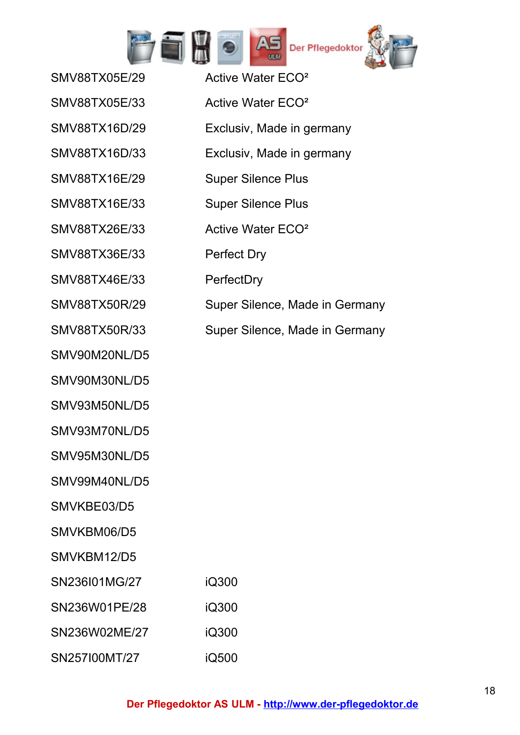

| SMV88TX05E/29 | Active Water ECO <sup>2</sup>  |
|---------------|--------------------------------|
| SMV88TX05E/33 | Active Water ECO <sup>2</sup>  |
| SMV88TX16D/29 | Exclusiv, Made in germany      |
| SMV88TX16D/33 | Exclusiv, Made in germany      |
| SMV88TX16E/29 | <b>Super Silence Plus</b>      |
| SMV88TX16E/33 | <b>Super Silence Plus</b>      |
| SMV88TX26E/33 | Active Water ECO <sup>2</sup>  |
| SMV88TX36E/33 | <b>Perfect Dry</b>             |
| SMV88TX46E/33 | PerfectDry                     |
| SMV88TX50R/29 | Super Silence, Made in Germany |
| SMV88TX50R/33 | Super Silence, Made in Germany |
| SMV90M20NL/D5 |                                |
| SMV90M30NL/D5 |                                |
| SMV93M50NL/D5 |                                |
| SMV93M70NL/D5 |                                |
| SMV95M30NL/D5 |                                |
| SMV99M40NL/D5 |                                |
| SMVKBE03/D5   |                                |
| SMVKBM06/D5   |                                |
| SMVKBM12/D5   |                                |
| SN236I01MG/27 | iQ300                          |
| SN236W01PE/28 | iQ300                          |
| SN236W02ME/27 | iQ300                          |
|               |                                |

SN257I00MT/27 iQ500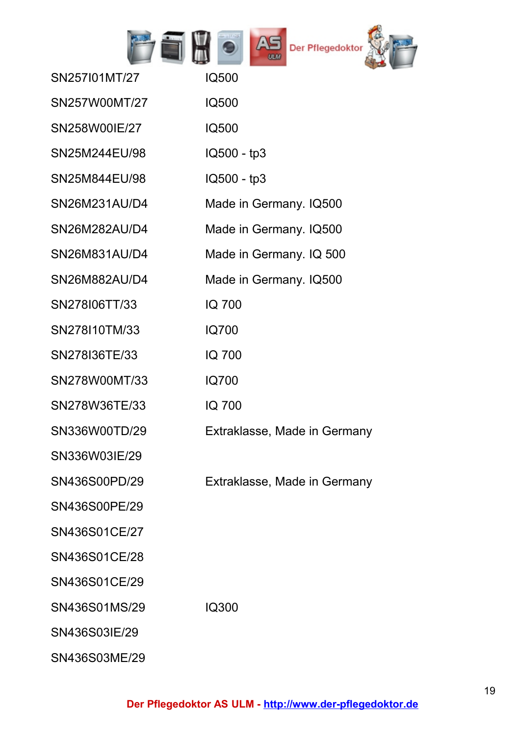

| SN257101MT/27 | IQ500                        |
|---------------|------------------------------|
| SN257W00MT/27 | IQ500                        |
| SN258W00IE/27 | IQ500                        |
| SN25M244EU/98 | IQ500 - tp3                  |
| SN25M844EU/98 | IQ500 - tp3                  |
| SN26M231AU/D4 | Made in Germany. IQ500       |
| SN26M282AU/D4 | Made in Germany. IQ500       |
| SN26M831AU/D4 | Made in Germany. IQ 500      |
| SN26M882AU/D4 | Made in Germany. IQ500       |
| SN278I06TT/33 | <b>IQ 700</b>                |
| SN278I10TM/33 | <b>IQ700</b>                 |
| SN278I36TE/33 | <b>IQ 700</b>                |
| SN278W00MT/33 | <b>IQ700</b>                 |
| SN278W36TE/33 | <b>IQ 700</b>                |
| SN336W00TD/29 | Extraklasse, Made in Germany |
| SN336W03IE/29 |                              |
| SN436S00PD/29 | Extraklasse, Made in Germany |
| SN436S00PE/29 |                              |
| SN436S01CE/27 |                              |
| SN436S01CE/28 |                              |
| SN436S01CE/29 |                              |
| SN436S01MS/29 | IQ300                        |
| SN436S03IE/29 |                              |
| SN436S03ME/29 |                              |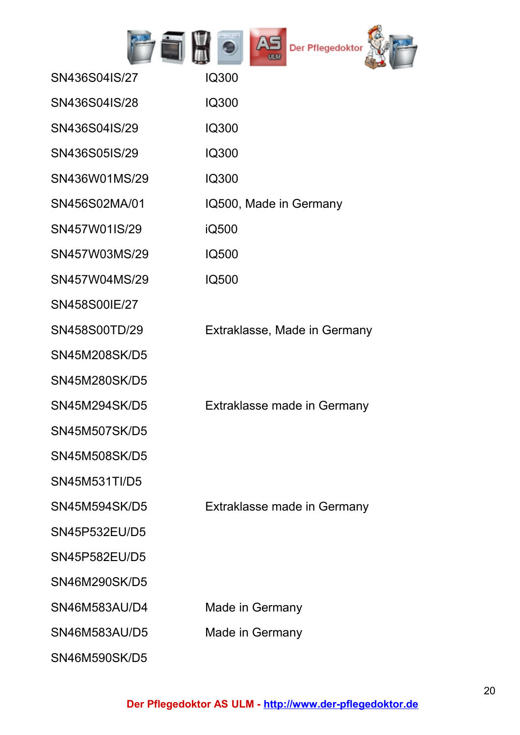|  |  |  |  | <b>Der Pflegedoktor</b> |  |
|--|--|--|--|-------------------------|--|
|--|--|--|--|-------------------------|--|

| SN436S04IS/27        | IQ300                        |
|----------------------|------------------------------|
| SN436S04IS/28        | IQ300                        |
| SN436S04IS/29        | IQ300                        |
| SN436S05IS/29        | IQ300                        |
| SN436W01MS/29        | IQ300                        |
| SN456S02MA/01        | IQ500, Made in Germany       |
| SN457W01IS/29        | iQ500                        |
| SN457W03MS/29        | IQ500                        |
| SN457W04MS/29        | <b>IQ500</b>                 |
| SN458S00IE/27        |                              |
| SN458S00TD/29        | Extraklasse, Made in Germany |
| <b>SN45M208SK/D5</b> |                              |
| <b>SN45M280SK/D5</b> |                              |
| <b>SN45M294SK/D5</b> | Extraklasse made in Germany  |
| <b>SN45M507SK/D5</b> |                              |
| <b>SN45M508SK/D5</b> |                              |
| SN45M531TI/D5        |                              |
| <b>SN45M594SK/D5</b> | Extraklasse made in Germany  |
| <b>SN45P532EU/D5</b> |                              |
| <b>SN45P582EU/D5</b> |                              |
| SN46M290SK/D5        |                              |
| SN46M583AU/D4        | Made in Germany              |
| SN46M583AU/D5        | Made in Germany              |
| SN46M590SK/D5        |                              |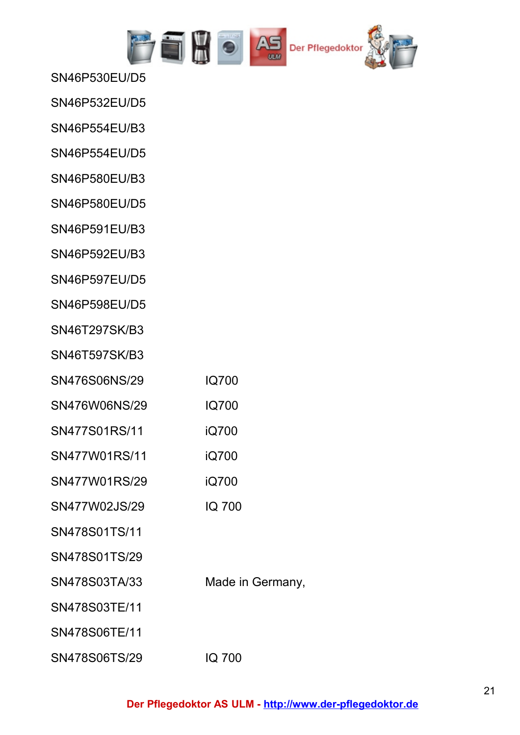

SN46P530EU/D5

SN46P532EU/D5

SN46P554EU/B3

SN46P554EU/D5

SN46P580EU/B3

SN46P580EU/D5

SN46P591EU/B3

SN46P592EU/B3

SN46P597EU/D5

SN46P598EU/D5

SN46T297SK/B3

SN46T597SK/B3

SN476S06NS/29 IQ700

SN476W06NS/29 IQ700

SN477S01RS/11 iQ700

SN477W01RS/11 iQ700

SN477W01RS/29 iQ700

SN477W02JS/29 IQ 700

SN478S01TS/11

SN478S01TS/29

SN478S03TA/33 Made in Germany,

SN478S03TE/11

SN478S06TE/11

SN478S06TS/29 IQ 700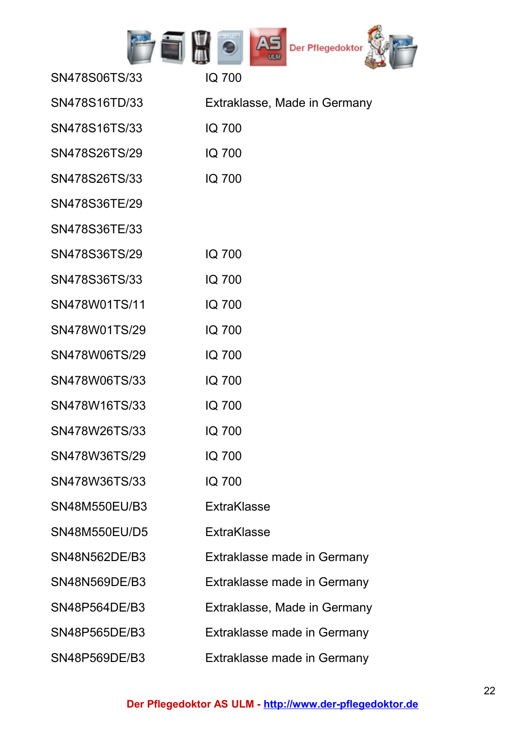

| SN478S06TS/33        | IQ 700                       |
|----------------------|------------------------------|
| SN478S16TD/33        | Extraklasse, Made in Germany |
| SN478S16TS/33        | <b>IQ 700</b>                |
| SN478S26TS/29        | <b>IQ 700</b>                |
| SN478S26TS/33        | <b>IQ 700</b>                |
| SN478S36TE/29        |                              |
| SN478S36TE/33        |                              |
| SN478S36TS/29        | IQ 700                       |
| SN478S36TS/33        | IQ 700                       |
| SN478W01TS/11        | IQ 700                       |
| SN478W01TS/29        | IQ 700                       |
| SN478W06TS/29        | <b>IQ 700</b>                |
| SN478W06TS/33        | IQ 700                       |
| SN478W16TS/33        | <b>IQ 700</b>                |
| SN478W26TS/33        | <b>IQ 700</b>                |
| SN478W36TS/29        | IQ 700                       |
| SN478W36TS/33        | IQ 700                       |
| SN48M550EU/B3        | <b>FxtraKlasse</b>           |
| <b>SN48M550EU/D5</b> | <b>ExtraKlasse</b>           |
| SN48N562DE/B3        | Extraklasse made in Germany  |
| SN48N569DE/B3        | Extraklasse made in Germany  |
| SN48P564DE/B3        | Extraklasse, Made in Germany |
| SN48P565DE/B3        | Extraklasse made in Germany  |
| SN48P569DE/B3        | Extraklasse made in Germany  |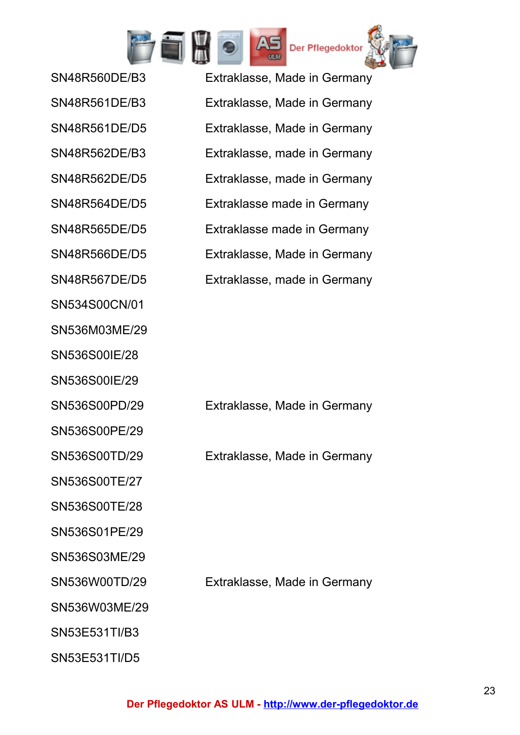

SN534S00CN/01 SN536M03ME/29 SN536S00IE/28 SN536S00IE/29 SN536S00PE/29 SN536S00TE/27 SN536S00TE/28 SN536S01PE/29 SN536S03ME/29 SN536W03ME/29 SN53E531TI/B3 SN53E531TI/D5

SN48R560DE/B3 Extraklasse, Made in Germany SN48R561DE/B3 Extraklasse, Made in Germany SN48R561DE/D5 Extraklasse, Made in Germany SN48R562DE/B3 Extraklasse, made in Germany SN48R562DE/D5 Extraklasse, made in Germany SN48R564DE/D5 Extraklasse made in Germany SN48R565DE/D5 Extraklasse made in Germany SN48R566DE/D5 Extraklasse, Made in Germany SN48R567DE/D5 Extraklasse, made in Germany

SN536S00PD/29 Extraklasse, Made in Germany

SN536S00TD/29 Extraklasse, Made in Germany

SN536W00TD/29 Extraklasse, Made in Germany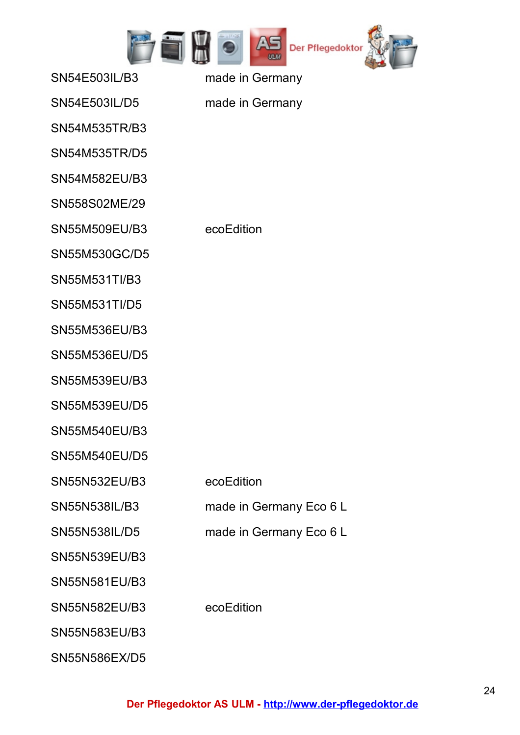

SN54E503IL/B3 made in Germany

SN54E503IL/D5 made in Germany

SN54M535TR/B3

SN54M535TR/D5

SN54M582EU/B3

SN558S02ME/29

SN55M509EU/B3 ecoEdition

SN55M530GC/D5

SN55M531TI/B3

SN55M531TI/D5

SN55M536EU/B3

SN55M536EU/D5

SN55M539EU/B3

SN55M539EU/D5

SN55M540EU/B3

SN55M540EU/D5

SN55N532EU/B3 ecoEdition

SN55N538IL/B3 made in Germany Eco 6 L

SN55N538IL/D5 made in Germany Eco 6 L

SN55N539EU/B3

SN55N581EU/B3

SN55N582EU/B3 ecoEdition

SN55N583EU/B3

SN55N586EX/D5

**Der Pflegedoktor AS ULM - [http://www.der-pflegedoktor.de](http://www.der-pflegedoktor.de/)**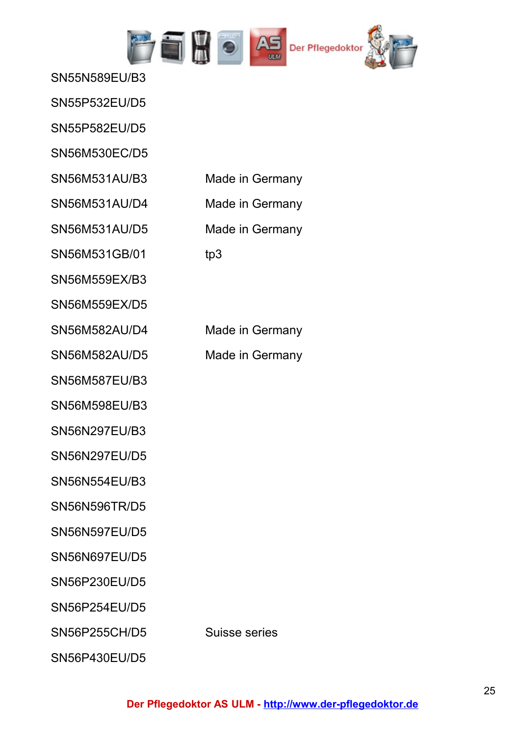

SN55N589EU/B3

SN55P532EU/D5

SN55P582EU/D5

SN56M530EC/D5

SN56M531GB/01 tp3

SN56M559EX/B3

SN56M559EX/D5

SN56M587EU/B3

SN56M598EU/B3

SN56N297EU/B3

SN56N297EU/D5

SN56N554EU/B3

SN56N596TR/D5

SN56N597EU/D5

SN56N697EU/D5

SN56P230EU/D5

SN56P254EU/D5

SN56P255CH/D5 Suisse series

SN56P430EU/D5

SN56M531AU/B3 Made in Germany

SN56M531AU/D4 Made in Germany

SN56M531AU/D5 Made in Germany

SN56M582AU/D4 Made in Germany

SN56M582AU/D5 Made in Germany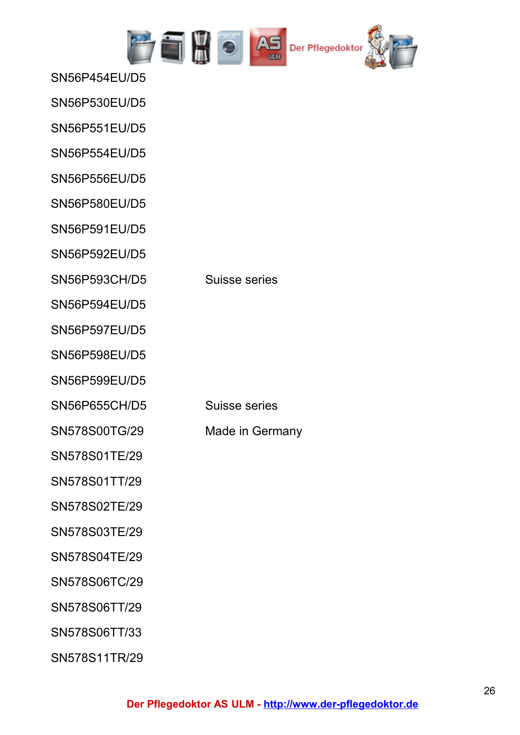

SN56P454EU/D5

SN56P530EU/D5

SN56P551EU/D5

SN56P554EU/D5

SN56P556EU/D5

SN56P580EU/D5

SN56P591EU/D5

SN56P592EU/D5

SN56P593CH/D5 Suisse series

SN56P594EU/D5

SN56P597EU/D5

SN56P598EU/D5

SN56P599EU/D5

SN56P655CH/D5 Suisse series

SN578S00TG/29 Made in Germany

SN578S01TE/29

SN578S01TT/29

SN578S02TE/29

SN578S03TE/29

SN578S04TE/29

SN578S06TC/29

SN578S06TT/29

SN578S06TT/33

SN578S11TR/29

**Der Pflegedoktor AS ULM - [http://www.der-pflegedoktor.de](http://www.der-pflegedoktor.de/)**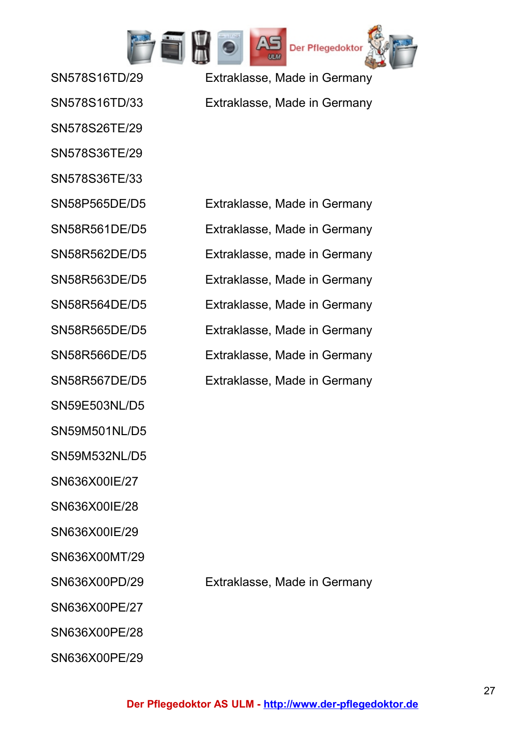

SN578S26TE/29

SN578S36TE/29

SN578S36TE/33

SN59E503NL/D5

SN59M501NL/D5

SN59M532NL/D5

SN636X00IE/27

SN636X00IE/28

SN636X00IE/29

SN636X00MT/29

SN636X00PE/27

SN636X00PE/28

SN636X00PE/29

SN578S16TD/29 Extraklasse, Made in Germany SN578S16TD/33 Extraklasse, Made in Germany

SN58P565DE/D5 Extraklasse, Made in Germany SN58R561DE/D5 Extraklasse, Made in Germany SN58R562DE/D5 Extraklasse, made in Germany SN58R563DE/D5 Extraklasse, Made in Germany SN58R564DE/D5 Extraklasse, Made in Germany SN58R565DE/D5 Extraklasse, Made in Germany SN58R566DE/D5 Extraklasse, Made in Germany SN58R567DE/D5 Extraklasse, Made in Germany

SN636X00PD/29 Extraklasse, Made in Germany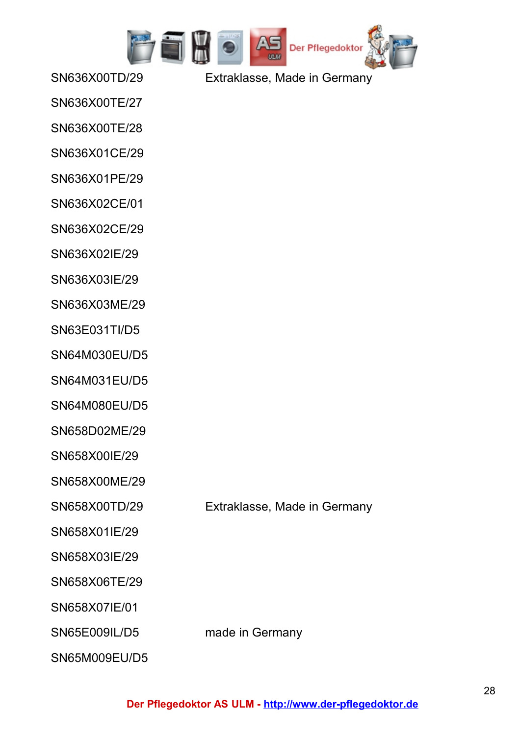

SN636X00TD/29 Extraklasse, Made in Germany

SN636X00TE/27

SN636X00TE/28

SN636X01CE/29

SN636X01PE/29

SN636X02CE/01

SN636X02CE/29

SN636X02IE/29

SN636X03IE/29

SN636X03ME/29

SN63E031TI/D5

SN64M030EU/D5

SN64M031EU/D5

SN64M080EU/D5

SN658D02ME/29

SN658X00IE/29

SN658X00ME/29

SN658X00TD/29 Extraklasse, Made in Germany

SN658X01IE/29

SN658X03IE/29

SN658X06TE/29

SN658X07IE/01

SN65E009IL/D5 made in Germany

SN65M009EU/D5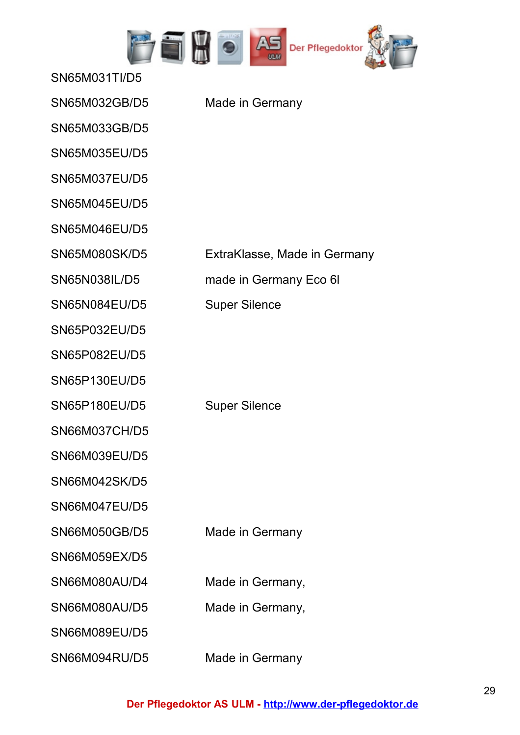

| SN65M032GB/D5        | Made in Germany              |
|----------------------|------------------------------|
| SN65M033GB/D5        |                              |
| SN65M035EU/D5        |                              |
| <b>SN65M037EU/D5</b> |                              |
| SN65M045EU/D5        |                              |
| SN65M046EU/D5        |                              |
| SN65M080SK/D5        | ExtraKlasse, Made in Germany |
| SN65N038IL/D5        | made in Germany Eco 6I       |
| SN65N084EU/D5        | <b>Super Silence</b>         |
| SN65P032EU/D5        |                              |
| SN65P082EU/D5        |                              |
| SN65P130EU/D5        |                              |
| SN65P180EU/D5        | Super Silence                |
| <b>SN66M037CH/D5</b> |                              |
| SN66M039EU/D5        |                              |
| <b>SN66M042SK/D5</b> |                              |
| <b>SN66M047EU/D5</b> |                              |
| SN66M050GB/D5        | Made in Germany              |
| SN66M059EX/D5        |                              |
| SN66M080AU/D4        | Made in Germany,             |
| <b>SN66M080AU/D5</b> | Made in Germany,             |
| SN66M089EU/D5        |                              |
| SN66M094RU/D5        | Made in Germany              |

SN65M031TI/D5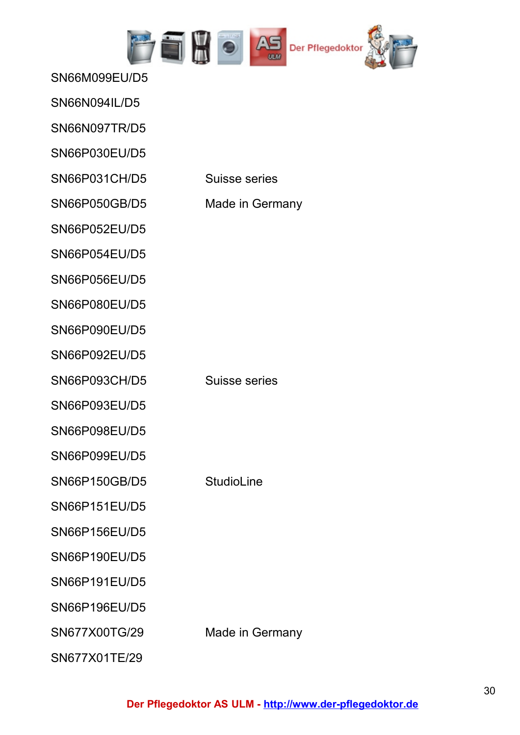

SN66N094IL/D5

SN66N097TR/D5

SN66P030EU/D5

SN66P031CH/D5 Suisse series

SN66P050GB/D5 Made in Germany

SN66P052EU/D5

SN66P054EU/D5

SN66P056EU/D5

SN66P080EU/D5

SN66P090EU/D5

SN66P092EU/D5

SN66P093CH/D5 Suisse series

SN66P093EU/D5

SN66P098EU/D5

SN66P099EU/D5

SN66P150GB/D5 StudioLine

SN66P151EU/D5

SN66P156EU/D5

SN66P190EU/D5

SN66P191EU/D5

SN66P196EU/D5

SN677X00TG/29 Made in Germany

SN677X01TE/29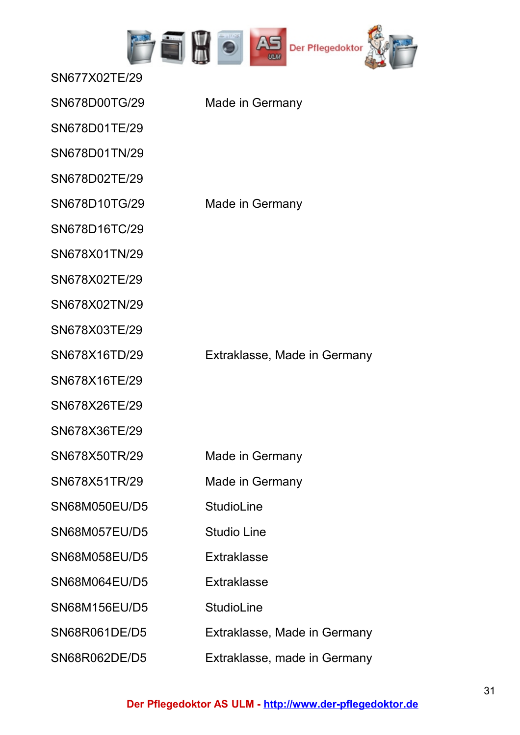

| SN677X02TE/29        |                              |
|----------------------|------------------------------|
| SN678D00TG/29        | Made in Germany              |
| SN678D01TE/29        |                              |
| SN678D01TN/29        |                              |
| SN678D02TE/29        |                              |
| SN678D10TG/29        | Made in Germany              |
| SN678D16TC/29        |                              |
| SN678X01TN/29        |                              |
| SN678X02TE/29        |                              |
| SN678X02TN/29        |                              |
| SN678X03TE/29        |                              |
| SN678X16TD/29        | Extraklasse, Made in Germany |
| SN678X16TE/29        |                              |
| SN678X26TE/29        |                              |
| SN678X36TE/29        |                              |
| SN678X50TR/29        | Made in Germany              |
| SN678X51TR/29        | Made in Germany              |
| <b>SN68M050EU/D5</b> | <b>StudioLine</b>            |
| <b>SN68M057EU/D5</b> | <b>Studio Line</b>           |
| SN68M058EU/D5        | <b>Extraklasse</b>           |
| <b>SN68M064EU/D5</b> | <b>Extraklasse</b>           |
| SN68M156EU/D5        | <b>StudioLine</b>            |
| SN68R061DE/D5        | Extraklasse, Made in Germany |
| SN68R062DE/D5        | Extraklasse, made in Germany |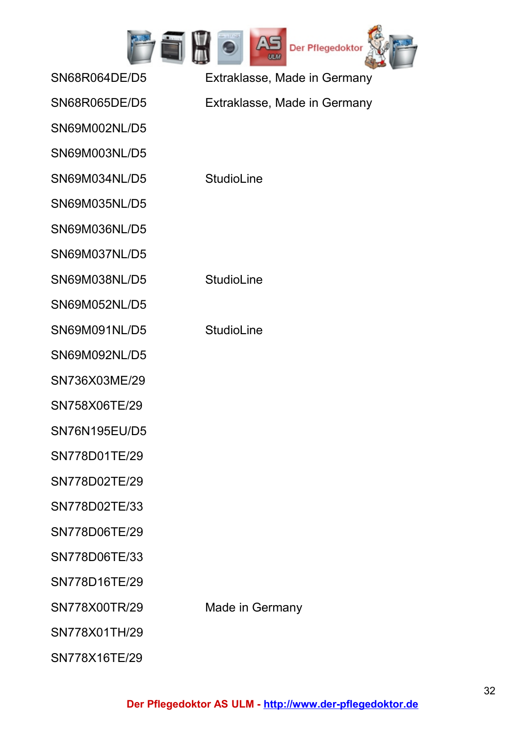

SN68R064DE/D5 Extraklasse, Made in Germany

SN68R065DE/D5 Extraklasse, Made in Germany

SN69M002NL/D5

SN69M003NL/D5

SN69M034NL/D5 StudioLine

SN69M035NL/D5

SN69M036NL/D5

SN69M037NL/D5

SN69M038NL/D5 StudioLine

SN69M052NL/D5

SN69M091NL/D5 StudioLine

SN69M092NL/D5

SN736X03ME/29

SN758X06TE/29

SN76N195EU/D5

SN778D01TE/29

SN778D02TE/29

SN778D02TE/33

SN778D06TE/29

SN778D06TE/33

SN778D16TE/29

SN778X01TH/29

SN778X00TR/29 Made in Germany

SN778X16TE/29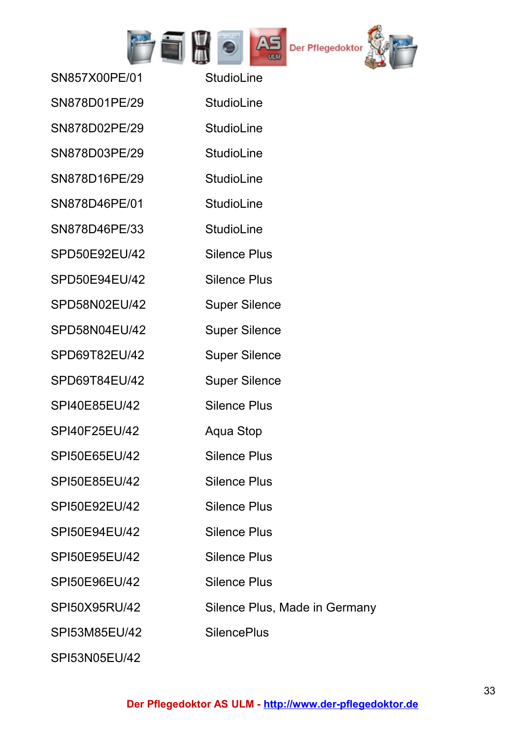

| SN857X00PE/01        | <b>StudioLine</b>             |
|----------------------|-------------------------------|
| SN878D01PE/29        | StudioLine                    |
| SN878D02PE/29        | <b>StudioLine</b>             |
| SN878D03PE/29        | StudioLine                    |
| SN878D16PE/29        | <b>StudioLine</b>             |
| SN878D46PE/01        | StudioLine                    |
| SN878D46PE/33        | StudioLine                    |
| SPD50E92EU/42        | <b>Silence Plus</b>           |
| <b>SPD50E94EU/42</b> | <b>Silence Plus</b>           |
| SPD58N02EU/42        | <b>Super Silence</b>          |
| SPD58N04EU/42        | <b>Super Silence</b>          |
| SPD69T82EU/42        | <b>Super Silence</b>          |
| SPD69T84EU/42        | <b>Super Silence</b>          |
| SPI40E85EU/42        | <b>Silence Plus</b>           |
| SPI40F25EU/42        | Aqua Stop                     |
| SPI50E65EU/42        | <b>Silence Plus</b>           |
| SPI50E85EU/42        | <b>Silence Plus</b>           |
| SPI50E92EU/42        | <b>Silence Plus</b>           |
| SPI50E94EU/42        | <b>Silence Plus</b>           |
| SPI50E95EU/42        | <b>Silence Plus</b>           |
| SPI50E96EU/42        | <b>Silence Plus</b>           |
| SPI50X95RU/42        | Silence Plus, Made in Germany |
| SPI53M85EU/42        | <b>SilencePlus</b>            |
|                      |                               |

SPI53N05EU/42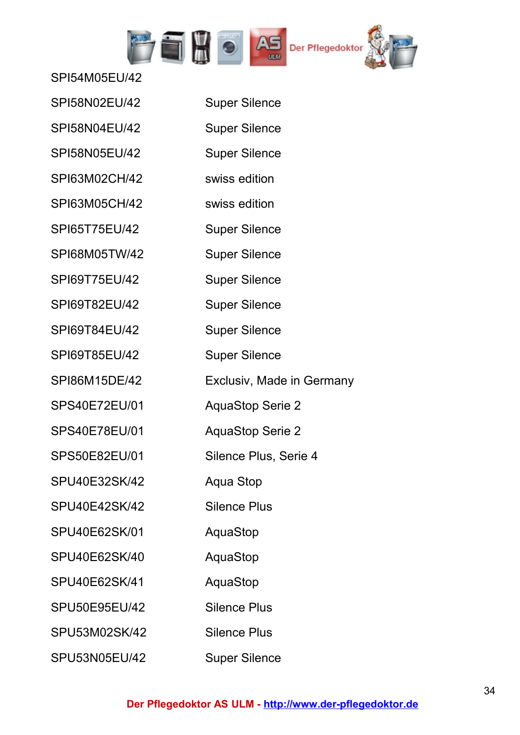

| SPI58N02EU/42        | <b>Super Silence</b>      |
|----------------------|---------------------------|
| SPI58N04EU/42        | <b>Super Silence</b>      |
| SPI58N05EU/42        | <b>Super Silence</b>      |
| SPI63M02CH/42        | swiss edition             |
| SPI63M05CH/42        | swiss edition             |
| SPI65T75EU/42        | <b>Super Silence</b>      |
| SPI68M05TW/42        | <b>Super Silence</b>      |
| SPI69T75EU/42        | <b>Super Silence</b>      |
| SPI69T82EU/42        | <b>Super Silence</b>      |
| SPI69T84EU/42        | <b>Super Silence</b>      |
| SPI69T85EU/42        | <b>Super Silence</b>      |
| SPI86M15DE/42        | Exclusiv, Made in Germany |
| SPS40E72EU/01        | <b>AquaStop Serie 2</b>   |
| SPS40E78EU/01        | <b>AquaStop Serie 2</b>   |
| SPS50E82EU/01        | Silence Plus, Serie 4     |
| SPU40E32SK/42        | Aqua Stop                 |
| <b>SPU40E42SK/42</b> | <b>Silence Plus</b>       |
| SPU40E62SK/01        | AquaStop                  |
| SPU40E62SK/40        | AquaStop                  |
| SPU40E62SK/41        | AquaStop                  |
| SPU50E95EU/42        | <b>Silence Plus</b>       |
| SPU53M02SK/42        | <b>Silence Plus</b>       |
| SPU53N05EU/42        | <b>Super Silence</b>      |

SPI54M05EU/42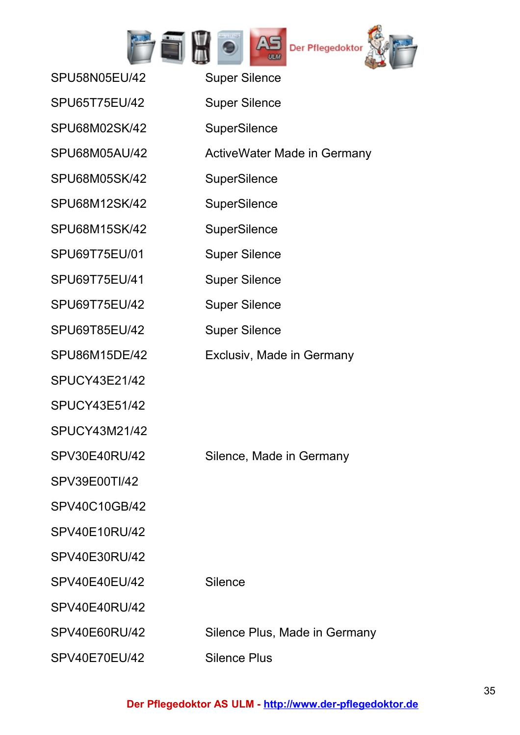

| SPU58N05EU/42        | <b>Super Silence</b>               |
|----------------------|------------------------------------|
| <b>SPU65T75EU/42</b> | <b>Super Silence</b>               |
| SPU68M02SK/42        | <b>SuperSilence</b>                |
| SPU68M05AU/42        | <b>ActiveWater Made in Germany</b> |
| SPU68M05SK/42        | <b>SuperSilence</b>                |
| SPU68M12SK/42        | <b>SuperSilence</b>                |
| SPU68M15SK/42        | <b>SuperSilence</b>                |
| SPU69T75EU/01        | <b>Super Silence</b>               |
| SPU69T75EU/41        | <b>Super Silence</b>               |
| SPU69T75EU/42        | <b>Super Silence</b>               |
| <b>SPU69T85EU/42</b> | <b>Super Silence</b>               |
| SPU86M15DE/42        | Exclusiv, Made in Germany          |
| <b>SPUCY43E21/42</b> |                                    |
| <b>SPUCY43E51/42</b> |                                    |
| SPUCY43M21/42        |                                    |
| <b>SPV30E40RU/42</b> | Silence, Made in Germany           |
| SPV39E00TI/42        |                                    |
| SPV40C10GB/42        |                                    |
| SPV40E10RU/42        |                                    |
| SPV40E30RU/42        |                                    |
| SPV40E40EU/42        | <b>Silence</b>                     |
| SPV40E40RU/42        |                                    |
| SPV40E60RU/42        | Silence Plus, Made in Germany      |
| SPV40E70EU/42        | <b>Silence Plus</b>                |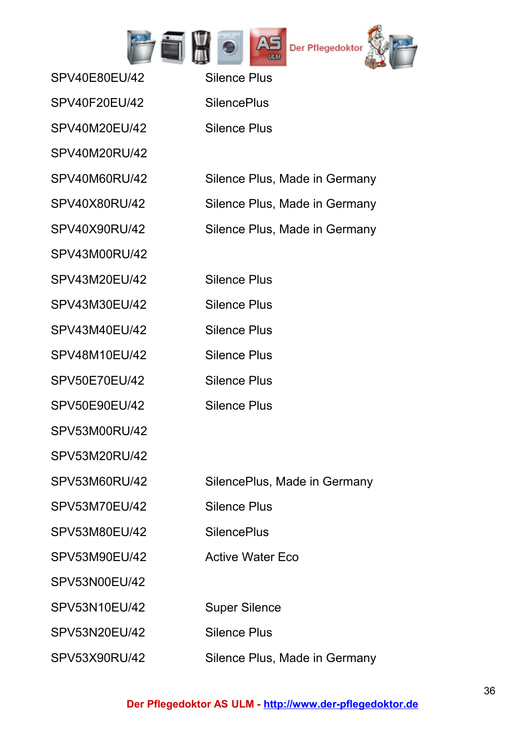

| SPV40E80EU/42        | <b>Silence Plus</b>           |
|----------------------|-------------------------------|
| <b>SPV40F20EU/42</b> | <b>SilencePlus</b>            |
| <b>SPV40M20EU/42</b> | <b>Silence Plus</b>           |
| SPV40M20RU/42        |                               |
| SPV40M60RU/42        | Silence Plus, Made in Germany |
| SPV40X80RU/42        | Silence Plus, Made in Germany |
| SPV40X90RU/42        | Silence Plus, Made in Germany |
| SPV43M00RU/42        |                               |
| SPV43M20EU/42        | <b>Silence Plus</b>           |
| SPV43M30EU/42        | <b>Silence Plus</b>           |
| SPV43M40EU/42        | <b>Silence Plus</b>           |
| SPV48M10EU/42        | <b>Silence Plus</b>           |
| <b>SPV50E70EU/42</b> | <b>Silence Plus</b>           |
| <b>SPV50E90EU/42</b> | <b>Silence Plus</b>           |
| <b>SPV53M00RU/42</b> |                               |
| <b>SPV53M20RU/42</b> |                               |
| <b>SPV53M60RU/42</b> | SilencePlus, Made in Germany  |
| SPV53M70EU/42        | <b>Silence Plus</b>           |
| <b>SPV53M80EU/42</b> | <b>SilencePlus</b>            |
| SPV53M90EU/42        | <b>Active Water Eco</b>       |
| SPV53N00EU/42        |                               |
| SPV53N10EU/42        | <b>Super Silence</b>          |
| SPV53N20EU/42        | <b>Silence Plus</b>           |
| SPV53X90RU/42        | Silence Plus, Made in Germany |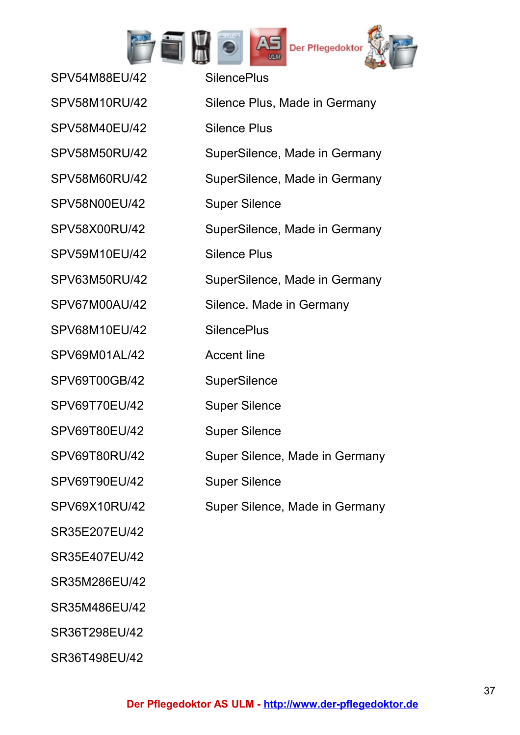

| SPV54M88EU/42        | <b>SilencePlus</b>             |
|----------------------|--------------------------------|
| SPV58M10RU/42        | Silence Plus, Made in Germany  |
| SPV58M40EU/42        | <b>Silence Plus</b>            |
| <b>SPV58M50RU/42</b> | SuperSilence, Made in Germany  |
| <b>SPV58M60RU/42</b> | SuperSilence, Made in Germany  |
| <b>SPV58N00EU/42</b> | <b>Super Silence</b>           |
| SPV58X00RU/42        | SuperSilence, Made in Germany  |
| SPV59M10EU/42        | <b>Silence Plus</b>            |
| SPV63M50RU/42        | SuperSilence, Made in Germany  |
| SPV67M00AU/42        | Silence. Made in Germany       |
| SPV68M10EU/42        | <b>SilencePlus</b>             |
| SPV69M01AL/42        | <b>Accent line</b>             |
| SPV69T00GB/42        | <b>SuperSilence</b>            |
| SPV69T70EU/42        | <b>Super Silence</b>           |
| SPV69T80EU/42        | <b>Super Silence</b>           |
| SPV69T80RU/42        | Super Silence, Made in Germany |
| SPV69T90EU/42        | <b>Super Silence</b>           |
| SPV69X10RU/42        | Super Silence, Made in Germany |
| SR35E207EU/42        |                                |
| SR35E407EU/42        |                                |
| SR35M286EU/42        |                                |
| SR35M486EU/42        |                                |
| SR36T298EU/42        |                                |

SR36T498EU/42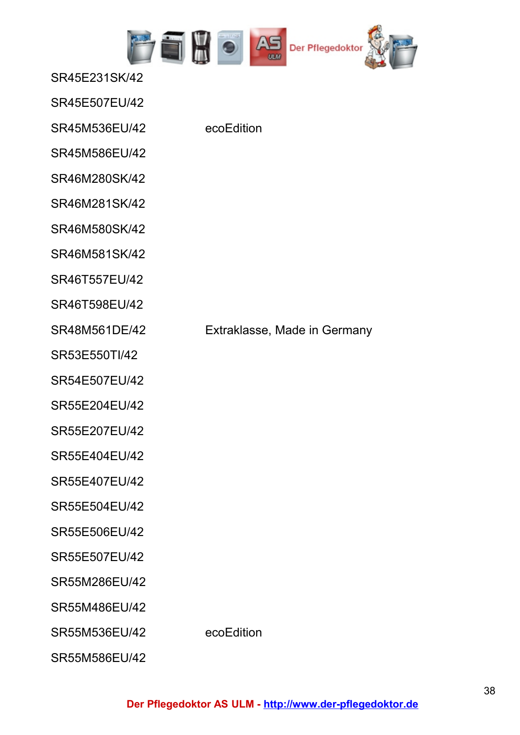

SR45E231SK/42

SR45E507EU/42

SR45M536EU/42 ecoEdition

SR45M586EU/42

SR46M280SK/42

SR46M281SK/42

SR46M580SK/42

SR46M581SK/42

SR46T557EU/42

SR46T598EU/42

SR53E550TI/42

SR54E507EU/42

SR55E204EU/42

SR55E207EU/42

SR55E404EU/42

SR55E407EU/42

SR55E504EU/42

SR55E506EU/42

SR55E507EU/42

SR55M286EU/42

SR55M486EU/42

SR55M536EU/42 ecoEdition

SR55M586EU/42

SR48M561DE/42 Extraklasse, Made in Germany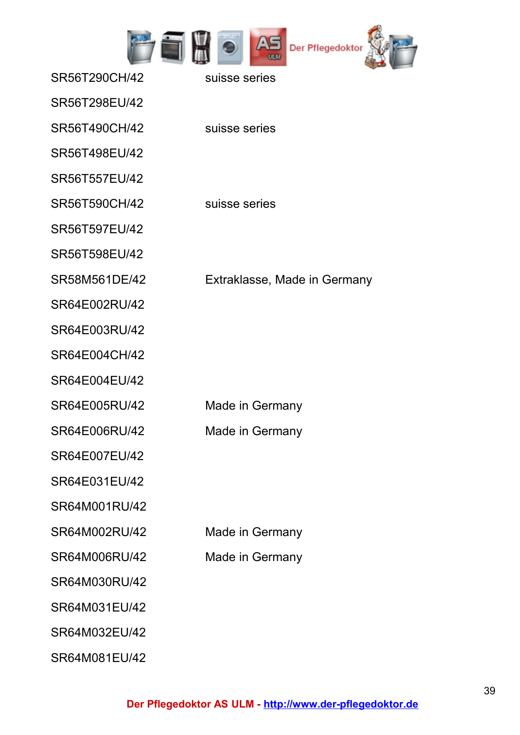

| SR56T290CH/42 | suisse series                |
|---------------|------------------------------|
| SR56T298EU/42 |                              |
| SR56T490CH/42 | suisse series                |
| SR56T498EU/42 |                              |
| SR56T557EU/42 |                              |
| SR56T590CH/42 | suisse series                |
| SR56T597EU/42 |                              |
| SR56T598EU/42 |                              |
| SR58M561DE/42 | Extraklasse, Made in Germany |
| SR64E002RU/42 |                              |
| SR64E003RU/42 |                              |
| SR64E004CH/42 |                              |
| SR64E004EU/42 |                              |
| SR64E005RU/42 | Made in Germany              |
| SR64E006RU/42 | Made in Germany              |
| SR64E007EU/42 |                              |
| SR64E031EU/42 |                              |
| SR64M001RU/42 |                              |
| SR64M002RU/42 | Made in Germany              |
| SR64M006RU/42 | Made in Germany              |
| SR64M030RU/42 |                              |
| SR64M031EU/42 |                              |
| SR64M032EU/42 |                              |
| SR64M081EU/42 |                              |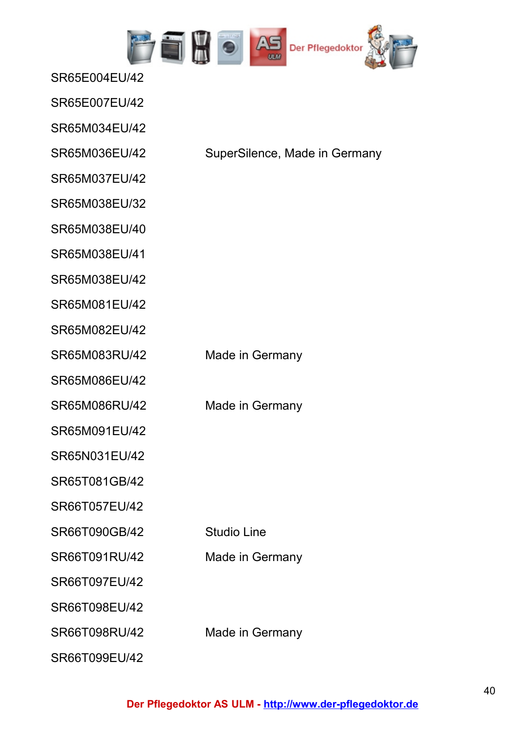

SR65E004EU/42

SR65E007EU/42

SR65M034EU/42

SR65M037EU/42

SR65M038EU/32

SR65M038EU/40

SR65M038EU/41

SR65M038EU/42

SR65M081EU/42

SR65M082EU/42

SR65M083RU/42 Made in Germany

SR65M086EU/42

SR65M091EU/42

SR65N031EU/42

SR65T081GB/42

SR66T057EU/42

SR66T090GB/42 Studio Line

SR66T097EU/42

SR66T098EU/42

SR66T098RU/42 Made in Germany

SR66T099EU/42

SR65M036EU/42 SuperSilence, Made in Germany

SR65M086RU/42 Made in Germany

SR66T091RU/42 Made in Germany

**Der Pflegedoktor AS ULM - [http://www.der-pflegedoktor.de](http://www.der-pflegedoktor.de/)**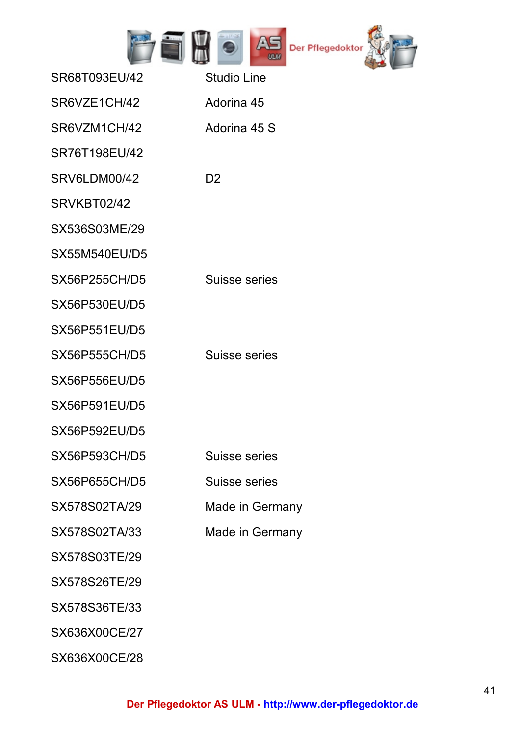

| SR68T093EU/42        | <b>Studio Line</b>   |
|----------------------|----------------------|
| SR6VZE1CH/42         | Adorina 45           |
| SR6VZM1CH/42         | Adorina 45 S         |
| SR76T198EU/42        |                      |
| SRV6LDM00/42         | D <sub>2</sub>       |
| SRVKBT02/42          |                      |
| SX536S03ME/29        |                      |
| <b>SX55M540EU/D5</b> |                      |
| <b>SX56P255CH/D5</b> | Suisse series        |
| <b>SX56P530EU/D5</b> |                      |
| <b>SX56P551EU/D5</b> |                      |
| <b>SX56P555CH/D5</b> | Suisse series        |
| <b>SX56P556EU/D5</b> |                      |
| <b>SX56P591EU/D5</b> |                      |
| <b>SX56P592EU/D5</b> |                      |
| <b>SX56P593CH/D5</b> | <b>Suisse series</b> |
| <b>SX56P655CH/D5</b> | Suisse series        |
| SX578S02TA/29        | Made in Germany      |
| SX578S02TA/33        | Made in Germany      |
| SX578S03TE/29        |                      |
| SX578S26TE/29        |                      |
| SX578S36TE/33        |                      |
| SX636X00CE/27        |                      |
| SX636X00CE/28        |                      |